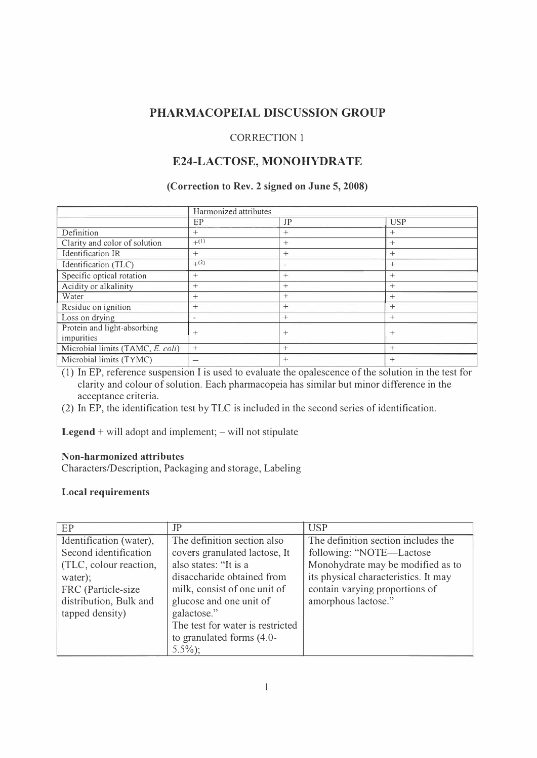# **PHARMACOPEIAL DISCUSSION GROUP**

### CORRECTION 1

# **E24-LACTOSE, MONOHYDRATE**

### **(Correction to Rev. 2 signed on June 5, 2008)**

|                                  | Harmonized attributes        |                          |            |
|----------------------------------|------------------------------|--------------------------|------------|
|                                  | EP                           | JP                       | <b>USP</b> |
| Definition                       | $^{+}$                       | $^{+}$                   | $^{+}$     |
| Clarity and color of solution    | $+^{(1)}$                    | $^{+}$                   | $^{+}$     |
| Identification IR                | $+$                          | $^{+}$                   | $^{+}$     |
| Identification (TLC)             | $+^{(2)}$                    | $\overline{\phantom{a}}$ | $^{+}$     |
| Specific optical rotation        | $^{+}$                       | $^{+}$                   | $^{+}$     |
| Acidity or alkalinity            | $^{+}$                       | $^{+}$                   | $^{+}$     |
| Water                            | $^{+}$                       | $+$                      | $^{+}$     |
| Residue on ignition              | $^{+}$                       | $+$                      | $^{+}$     |
| Loss on drying                   | $\qquad \qquad \blacksquare$ | $+$                      | $^{+}$     |
| Protein and light-absorbing      | $^{+}$                       | $+$                      | $^{+}$     |
| impurities                       |                              |                          |            |
| Microbial limits (TAMC, E. coli) | $^{+}$                       | $+$                      | $^{+}$     |
| Microbial limits (TYMC)          |                              | $+$                      | $^{+}$     |

(1) In EP, reference suspension I is used to evaluate the opalescence of the solution in the test for clarity and colour of solution. Each pharmacopeia has similar but minor difference in the acceptance criteria.

(2) In EP, the identification test by TLC is included in the second series of identification.

**Legend**  $+$  will adopt and implement;  $-$  will not stipulate

## **Non-harmonized attributes**

Characters/Description, Packaging and storage, Labeling

## **Local requirements**

| EP                      | JP                               | <b>USP</b>                           |
|-------------------------|----------------------------------|--------------------------------------|
| Identification (water), | The definition section also      | The definition section includes the  |
| Second identification   | covers granulated lactose, It    | following: "NOTE—Lactose             |
| (TLC, colour reaction,  | also states: "It is a            | Monohydrate may be modified as to    |
| water);                 | disaccharide obtained from       | its physical characteristics. It may |
| FRC (Particle-size      | milk, consist of one unit of     | contain varying proportions of       |
| distribution, Bulk and  | glucose and one unit of          | amorphous lactose."                  |
| tapped density)         | galactose."                      |                                      |
|                         | The test for water is restricted |                                      |
|                         | to granulated forms $(4.0 -$     |                                      |
|                         | $5.5\%$ ;                        |                                      |